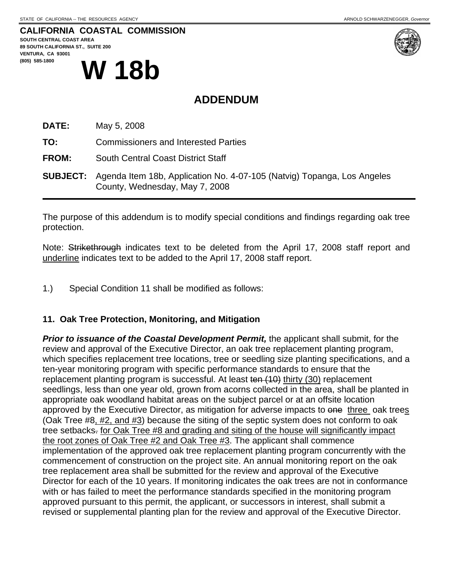### **CALIFORNIA COASTAL COMMISSION**

**SOUTH CENTRAL COAST AREA 89 SOUTH CALIFORNIA ST., SUITE 200 VENTURA, CA 93001**  (805) 585-1800 W 18b



# **ADDENDUM**

**DATE:** May 5, 2008

**TO:** Commissioners and Interested Parties

**FROM:** South Central Coast District Staff

**SUBJECT:** Agenda Item 18b, Application No. 4-07-105 (Natvig) Topanga, Los Angeles County, Wednesday, May 7, 2008

The purpose of this addendum is to modify special conditions and findings regarding oak tree protection.

Note: Strikethrough indicates text to be deleted from the April 17, 2008 staff report and underline indicates text to be added to the April 17, 2008 staff report.

1.) Special Condition 11 shall be modified as follows:

#### **11. Oak Tree Protection, Monitoring, and Mitigation**

*Prior to issuance of the Coastal Development Permit,* the applicant shall submit, for the review and approval of the Executive Director, an oak tree replacement planting program, which specifies replacement tree locations, tree or seedling size planting specifications, and a ten-year monitoring program with specific performance standards to ensure that the replacement planting program is successful. At least ten (10) thirty (30) replacement seedlings, less than one year old, grown from acorns collected in the area, shall be planted in appropriate oak woodland habitat areas on the subject parcel or at an offsite location approved by the Executive Director, as mitigation for adverse impacts to one three oak trees (Oak Tree #8, #2, and #3) because the siting of the septic system does not conform to oak tree setbacks. for Oak Tree #8 and grading and siting of the house will significantly impact the root zones of Oak Tree #2 and Oak Tree #3. The applicant shall commence implementation of the approved oak tree replacement planting program concurrently with the commencement of construction on the project site. An annual monitoring report on the oak tree replacement area shall be submitted for the review and approval of the Executive Director for each of the 10 years. If monitoring indicates the oak trees are not in conformance with or has failed to meet the performance standards specified in the monitoring program approved pursuant to this permit, the applicant, or successors in interest, shall submit a revised or supplemental planting plan for the review and approval of the Executive Director.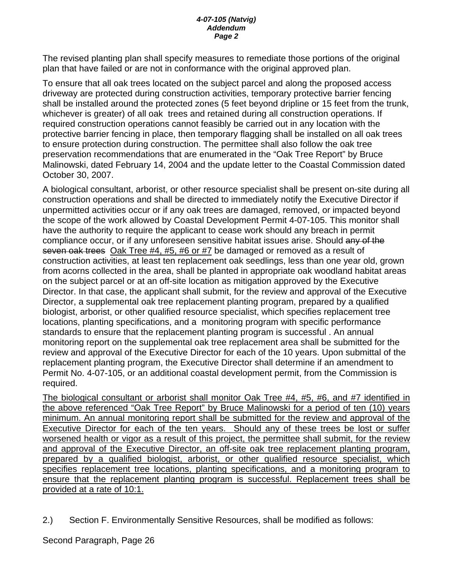#### *4-07-105 (Natvig) Addendum Page 2*

The revised planting plan shall specify measures to remediate those portions of the original plan that have failed or are not in conformance with the original approved plan.

To ensure that all oak trees located on the subject parcel and along the proposed access driveway are protected during construction activities, temporary protective barrier fencing shall be installed around the protected zones (5 feet beyond dripline or 15 feet from the trunk, whichever is greater) of all oak trees and retained during all construction operations. If required construction operations cannot feasibly be carried out in any location with the protective barrier fencing in place, then temporary flagging shall be installed on all oak trees to ensure protection during construction. The permittee shall also follow the oak tree preservation recommendations that are enumerated in the "Oak Tree Report" by Bruce Malinowski, dated February 14, 2004 and the update letter to the Coastal Commission dated October 30, 2007.

A biological consultant, arborist, or other resource specialist shall be present on-site during all construction operations and shall be directed to immediately notify the Executive Director if unpermitted activities occur or if any oak trees are damaged, removed, or impacted beyond the scope of the work allowed by Coastal Development Permit 4-07-105. This monitor shall have the authority to require the applicant to cease work should any breach in permit compliance occur, or if any unforeseen sensitive habitat issues arise. Should any of the seven oak trees Oak Tree #4, #5, #6 or #7 be damaged or removed as a result of construction activities, at least ten replacement oak seedlings, less than one year old, grown from acorns collected in the area, shall be planted in appropriate oak woodland habitat areas on the subject parcel or at an off-site location as mitigation approved by the Executive Director. In that case, the applicant shall submit, for the review and approval of the Executive Director, a supplemental oak tree replacement planting program, prepared by a qualified biologist, arborist, or other qualified resource specialist, which specifies replacement tree locations, planting specifications, and a monitoring program with specific performance standards to ensure that the replacement planting program is successful . An annual monitoring report on the supplemental oak tree replacement area shall be submitted for the review and approval of the Executive Director for each of the 10 years. Upon submittal of the replacement planting program, the Executive Director shall determine if an amendment to Permit No. 4-07-105, or an additional coastal development permit, from the Commission is required.

The biological consultant or arborist shall monitor Oak Tree #4, #5, #6, and #7 identified in the above referenced "Oak Tree Report" by Bruce Malinowski for a period of ten (10) years minimum. An annual monitoring report shall be submitted for the review and approval of the Executive Director for each of the ten years. Should any of these trees be lost or suffer worsened health or vigor as a result of this project, the permittee shall submit, for the review and approval of the Executive Director, an off-site oak tree replacement planting program, prepared by a qualified biologist, arborist, or other qualified resource specialist, which specifies replacement tree locations, planting specifications, and a monitoring program to ensure that the replacement planting program is successful. Replacement trees shall be provided at a rate of 10:1.

2.) Section F. Environmentally Sensitive Resources, shall be modified as follows:

Second Paragraph, Page 26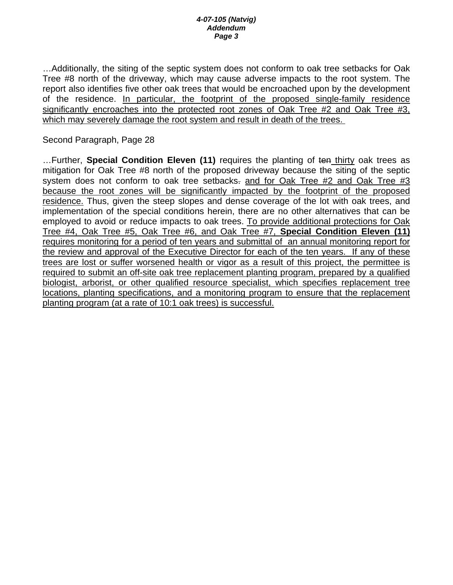#### *4-07-105 (Natvig) Addendum Page 3*

…Additionally, the siting of the septic system does not conform to oak tree setbacks for Oak Tree #8 north of the driveway, which may cause adverse impacts to the root system. The report also identifies five other oak trees that would be encroached upon by the development of the residence. In particular, the footprint of the proposed single-family residence significantly encroaches into the protected root zones of Oak Tree #2 and Oak Tree #3, which may severely damage the root system and result in death of the trees.

#### Second Paragraph, Page 28

…Further, **Special Condition Eleven (11)** requires the planting of ten thirty oak trees as mitigation for Oak Tree #8 north of the proposed driveway because the siting of the septic system does not conform to oak tree setbacks- and for Oak Tree #2 and Oak Tree #3 because the root zones will be significantly impacted by the footprint of the proposed residence. Thus, given the steep slopes and dense coverage of the lot with oak trees, and implementation of the special conditions herein, there are no other alternatives that can be employed to avoid or reduce impacts to oak trees. To provide additional protections for Oak Tree #4, Oak Tree #5, Oak Tree #6, and Oak Tree #7, **Special Condition Eleven (11)**  requires monitoring for a period of ten years and submittal of an annual monitoring report for the review and approval of the Executive Director for each of the ten years. If any of these trees are lost or suffer worsened health or vigor as a result of this project, the permittee is required to submit an off-site oak tree replacement planting program, prepared by a qualified biologist, arborist, or other qualified resource specialist, which specifies replacement tree locations, planting specifications, and a monitoring program to ensure that the replacement planting program (at a rate of 10:1 oak trees) is successful.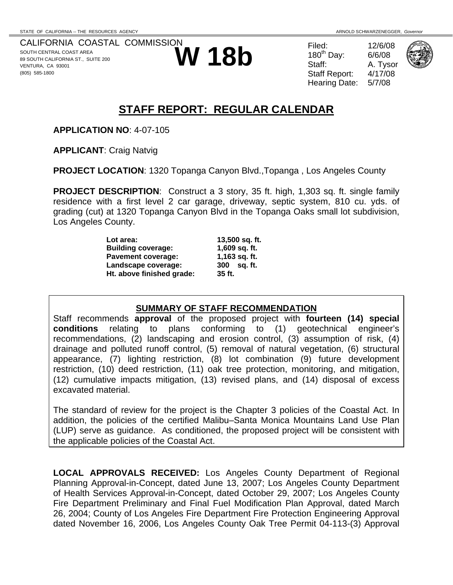CALIFORNIA COASTAL COMMISSION SOUTH CENTRAL COAST AREA 89 SOUTH CALIFORNIA ST., SUITE 200 VENTURA, CA 93001 (805) 585-1800



180<sup>th</sup> Day: Staff Report: Hearing Date: 5/7/08



A. Tysor



# **STAFF REPORT: REGULAR CALENDAR**

**APPLICATION NO**: 4-07-105

**APPLICANT**: Craig Natvig

**PROJECT LOCATION**: 1320 Topanga Canyon Blvd.,Topanga , Los Angeles County

**PROJECT DESCRIPTION**: Construct a 3 story, 35 ft. high, 1,303 sq. ft. single family residence with a first level 2 car garage, driveway, septic system, 810 cu. yds. of grading (cut) at 1320 Topanga Canyon Blvd in the Topanga Oaks small lot subdivision, Los Angeles County.

| Lot area:                 | 13,500 sq. ft. |
|---------------------------|----------------|
| <b>Building coverage:</b> | 1,609 sq. ft.  |
| <b>Pavement coverage:</b> | 1,163 sq. ft.  |
| Landscape coverage:       | 300 sq. ft.    |
| Ht. above finished grade: | 35 ft.         |

### **SUMMARY OF STAFF RECOMMENDATION**

Staff recommends **approval** of the proposed project with **fourteen (14) special conditions** relating to plans conforming to (1) geotechnical engineer's recommendations, (2) landscaping and erosion control, (3) assumption of risk, (4) drainage and polluted runoff control, (5) removal of natural vegetation, (6) structural appearance, (7) lighting restriction, (8) lot combination (9) future development restriction, (10) deed restriction, (11) oak tree protection, monitoring, and mitigation, (12) cumulative impacts mitigation, (13) revised plans, and (14) disposal of excess excavated material.

The standard of review for the project is the Chapter 3 policies of the Coastal Act. In addition, the policies of the certified Malibu–Santa Monica Mountains Land Use Plan (LUP) serve as guidance. As conditioned, the proposed project will be consistent with the applicable policies of the Coastal Act.

**LOCAL APPROVALS RECEIVED:** Los Angeles County Department of Regional Planning Approval-in-Concept, dated June 13, 2007; Los Angeles County Department of Health Services Approval-in-Concept, dated October 29, 2007; Los Angeles County Fire Department Preliminary and Final Fuel Modification Plan Approval, dated March 26, 2004; County of Los Angeles Fire Department Fire Protection Engineering Approval dated November 16, 2006, Los Angeles County Oak Tree Permit 04-113-(3) Approval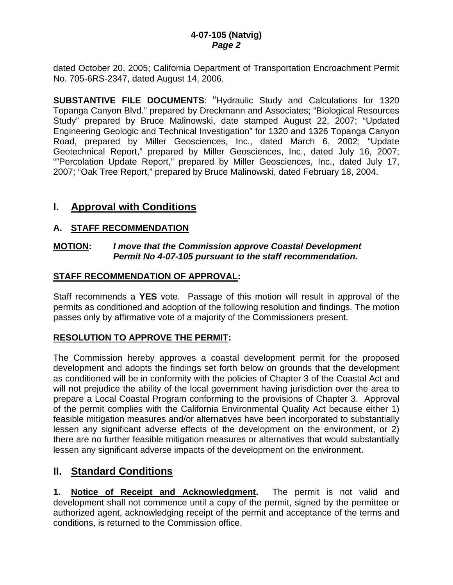dated October 20, 2005; California Department of Transportation Encroachment Permit No. 705-6RS-2347, dated August 14, 2006.

**SUBSTANTIVE FILE DOCUMENTS**: "Hydraulic Study and Calculations for 1320 Topanga Canyon Blvd." prepared by Dreckmann and Associates; "Biological Resources Study" prepared by Bruce Malinowski, date stamped August 22, 2007; "Updated Engineering Geologic and Technical Investigation" for 1320 and 1326 Topanga Canyon Road, prepared by Miller Geosciences, Inc., dated March 6, 2002; "Update Geotechnical Report," prepared by Miller Geosciences, Inc., dated July 16, 2007; ""Percolation Update Report," prepared by Miller Geosciences, Inc., dated July 17, 2007; "Oak Tree Report," prepared by Bruce Malinowski, dated February 18, 2004.

### **I. Approval with Conditions**

#### **A. STAFF RECOMMENDATION**

#### **MOTION:** *I move that the Commission approve Coastal Development Permit No 4-07-105 pursuant to the staff recommendation.*

#### **STAFF RECOMMENDATION OF APPROVAL:**

Staff recommends a **YES** vote. Passage of this motion will result in approval of the permits as conditioned and adoption of the following resolution and findings. The motion passes only by affirmative vote of a majority of the Commissioners present.

### **RESOLUTION TO APPROVE THE PERMIT:**

The Commission hereby approves a coastal development permit for the proposed development and adopts the findings set forth below on grounds that the development as conditioned will be in conformity with the policies of Chapter 3 of the Coastal Act and will not prejudice the ability of the local government having jurisdiction over the area to prepare a Local Coastal Program conforming to the provisions of Chapter 3. Approval of the permit complies with the California Environmental Quality Act because either 1) feasible mitigation measures and/or alternatives have been incorporated to substantially lessen any significant adverse effects of the development on the environment, or 2) there are no further feasible mitigation measures or alternatives that would substantially lessen any significant adverse impacts of the development on the environment.

### **II. Standard Conditions**

**1. Notice of Receipt and Acknowledgment.** The permit is not valid and development shall not commence until a copy of the permit, signed by the permittee or authorized agent, acknowledging receipt of the permit and acceptance of the terms and conditions, is returned to the Commission office.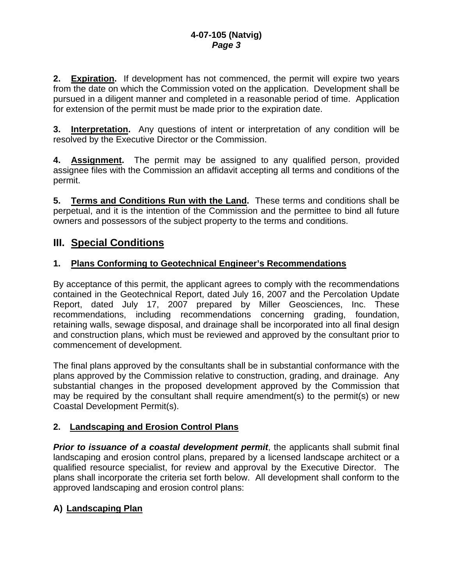**2. Expiration.** If development has not commenced, the permit will expire two years from the date on which the Commission voted on the application. Development shall be pursued in a diligent manner and completed in a reasonable period of time. Application for extension of the permit must be made prior to the expiration date.

**3.** Interpretation. Any questions of intent or interpretation of any condition will be resolved by the Executive Director or the Commission.

**4. Assignment.** The permit may be assigned to any qualified person, provided assignee files with the Commission an affidavit accepting all terms and conditions of the permit.

**5. Terms and Conditions Run with the Land.** These terms and conditions shall be perpetual, and it is the intention of the Commission and the permittee to bind all future owners and possessors of the subject property to the terms and conditions.

# **III. Special Conditions**

### **1. Plans Conforming to Geotechnical Engineer's Recommendations**

By acceptance of this permit, the applicant agrees to comply with the recommendations contained in the Geotechnical Report, dated July 16, 2007 and the Percolation Update Report, dated July 17, 2007 prepared by Miller Geosciences, Inc. These recommendations, including recommendations concerning grading, foundation, retaining walls, sewage disposal, and drainage shall be incorporated into all final design and construction plans, which must be reviewed and approved by the consultant prior to commencement of development.

The final plans approved by the consultants shall be in substantial conformance with the plans approved by the Commission relative to construction, grading, and drainage. Any substantial changes in the proposed development approved by the Commission that may be required by the consultant shall require amendment(s) to the permit(s) or new Coastal Development Permit(s).

### **2. Landscaping and Erosion Control Plans**

**Prior to issuance of a coastal development permit**, the applicants shall submit final landscaping and erosion control plans, prepared by a licensed landscape architect or a qualified resource specialist, for review and approval by the Executive Director. The plans shall incorporate the criteria set forth below. All development shall conform to the approved landscaping and erosion control plans:

# **A) Landscaping Plan**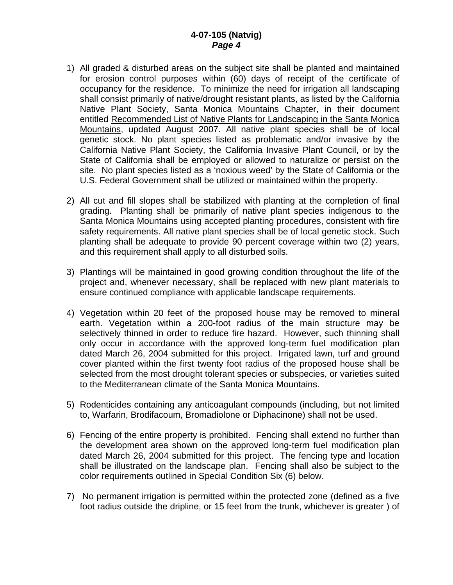#### **4-07-105 (Natvig)**  *Page 4*

- 1) All graded & disturbed areas on the subject site shall be planted and maintained for erosion control purposes within (60) days of receipt of the certificate of occupancy for the residence. To minimize the need for irrigation all landscaping shall consist primarily of native/drought resistant plants, as listed by the California Native Plant Society, Santa Monica Mountains Chapter, in their document entitled Recommended List of Native Plants for Landscaping in the Santa Monica Mountains, updated August 2007. All native plant species shall be of local genetic stock. No plant species listed as problematic and/or invasive by the California Native Plant Society, the California Invasive Plant Council, or by the State of California shall be employed or allowed to naturalize or persist on the site. No plant species listed as a 'noxious weed' by the State of California or the U.S. Federal Government shall be utilized or maintained within the property.
- 2) All cut and fill slopes shall be stabilized with planting at the completion of final grading. Planting shall be primarily of native plant species indigenous to the Santa Monica Mountains using accepted planting procedures, consistent with fire safety requirements. All native plant species shall be of local genetic stock. Such planting shall be adequate to provide 90 percent coverage within two (2) years, and this requirement shall apply to all disturbed soils.
- 3) Plantings will be maintained in good growing condition throughout the life of the project and, whenever necessary, shall be replaced with new plant materials to ensure continued compliance with applicable landscape requirements.
- 4) Vegetation within 20 feet of the proposed house may be removed to mineral earth. Vegetation within a 200-foot radius of the main structure may be selectively thinned in order to reduce fire hazard. However, such thinning shall only occur in accordance with the approved long-term fuel modification plan dated March 26, 2004 submitted for this project. Irrigated lawn, turf and ground cover planted within the first twenty foot radius of the proposed house shall be selected from the most drought tolerant species or subspecies, or varieties suited to the Mediterranean climate of the Santa Monica Mountains.
- 5) Rodenticides containing any anticoagulant compounds (including, but not limited to, Warfarin, Brodifacoum, Bromadiolone or Diphacinone) shall not be used.
- 6) Fencing of the entire property is prohibited. Fencing shall extend no further than the development area shown on the approved long-term fuel modification plan dated March 26, 2004 submitted for this project. The fencing type and location shall be illustrated on the landscape plan. Fencing shall also be subject to the color requirements outlined in Special Condition Six (6) below.
- 7) No permanent irrigation is permitted within the protected zone (defined as a five foot radius outside the dripline, or 15 feet from the trunk, whichever is greater ) of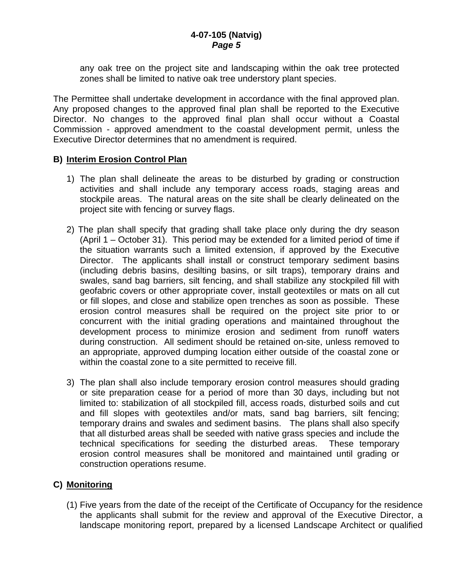any oak tree on the project site and landscaping within the oak tree protected zones shall be limited to native oak tree understory plant species.

The Permittee shall undertake development in accordance with the final approved plan. Any proposed changes to the approved final plan shall be reported to the Executive Director. No changes to the approved final plan shall occur without a Coastal Commission - approved amendment to the coastal development permit, unless the Executive Director determines that no amendment is required.

#### **B) Interim Erosion Control Plan**

- 1) The plan shall delineate the areas to be disturbed by grading or construction activities and shall include any temporary access roads, staging areas and stockpile areas. The natural areas on the site shall be clearly delineated on the project site with fencing or survey flags.
- 2) The plan shall specify that grading shall take place only during the dry season (April 1 – October 31). This period may be extended for a limited period of time if the situation warrants such a limited extension, if approved by the Executive Director. The applicants shall install or construct temporary sediment basins (including debris basins, desilting basins, or silt traps), temporary drains and swales, sand bag barriers, silt fencing, and shall stabilize any stockpiled fill with geofabric covers or other appropriate cover, install geotextiles or mats on all cut or fill slopes, and close and stabilize open trenches as soon as possible. These erosion control measures shall be required on the project site prior to or concurrent with the initial grading operations and maintained throughout the development process to minimize erosion and sediment from runoff waters during construction. All sediment should be retained on-site, unless removed to an appropriate, approved dumping location either outside of the coastal zone or within the coastal zone to a site permitted to receive fill.
- 3) The plan shall also include temporary erosion control measures should grading or site preparation cease for a period of more than 30 days, including but not limited to: stabilization of all stockpiled fill, access roads, disturbed soils and cut and fill slopes with geotextiles and/or mats, sand bag barriers, silt fencing; temporary drains and swales and sediment basins. The plans shall also specify that all disturbed areas shall be seeded with native grass species and include the technical specifications for seeding the disturbed areas. These temporary erosion control measures shall be monitored and maintained until grading or construction operations resume.

### **C) Monitoring**

(1) Five years from the date of the receipt of the Certificate of Occupancy for the residence the applicants shall submit for the review and approval of the Executive Director, a landscape monitoring report, prepared by a licensed Landscape Architect or qualified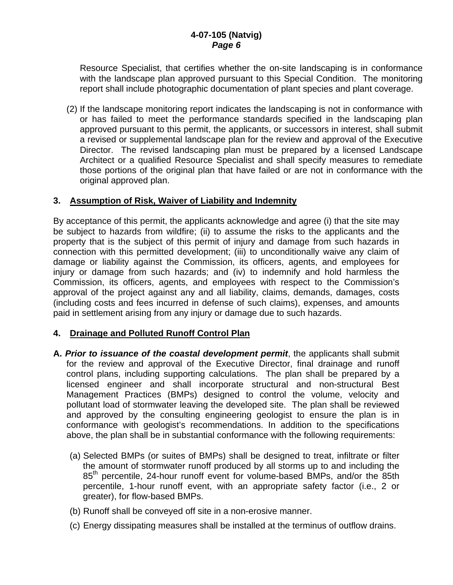Resource Specialist, that certifies whether the on-site landscaping is in conformance with the landscape plan approved pursuant to this Special Condition. The monitoring report shall include photographic documentation of plant species and plant coverage.

(2) If the landscape monitoring report indicates the landscaping is not in conformance with or has failed to meet the performance standards specified in the landscaping plan approved pursuant to this permit, the applicants, or successors in interest, shall submit a revised or supplemental landscape plan for the review and approval of the Executive Director. The revised landscaping plan must be prepared by a licensed Landscape Architect or a qualified Resource Specialist and shall specify measures to remediate those portions of the original plan that have failed or are not in conformance with the original approved plan.

#### **3. Assumption of Risk, Waiver of Liability and Indemnity**

By acceptance of this permit, the applicants acknowledge and agree (i) that the site may be subject to hazards from wildfire; (ii) to assume the risks to the applicants and the property that is the subject of this permit of injury and damage from such hazards in connection with this permitted development; (iii) to unconditionally waive any claim of damage or liability against the Commission, its officers, agents, and employees for injury or damage from such hazards; and (iv) to indemnify and hold harmless the Commission, its officers, agents, and employees with respect to the Commission's approval of the project against any and all liability, claims, demands, damages, costs (including costs and fees incurred in defense of such claims), expenses, and amounts paid in settlement arising from any injury or damage due to such hazards.

#### **4. Drainage and Polluted Runoff Control Plan**

- **A.** *Prior to issuance of the coastal development permit*, the applicants shall submit for the review and approval of the Executive Director, final drainage and runoff control plans, including supporting calculations. The plan shall be prepared by a licensed engineer and shall incorporate structural and non-structural Best Management Practices (BMPs) designed to control the volume, velocity and pollutant load of stormwater leaving the developed site. The plan shall be reviewed and approved by the consulting engineering geologist to ensure the plan is in conformance with geologist's recommendations. In addition to the specifications above, the plan shall be in substantial conformance with the following requirements:
	- (a) Selected BMPs (or suites of BMPs) shall be designed to treat, infiltrate or filter the amount of stormwater runoff produced by all storms up to and including the 85<sup>th</sup> percentile, 24-hour runoff event for volume-based BMPs, and/or the 85th percentile, 1-hour runoff event, with an appropriate safety factor (i.e., 2 or greater), for flow-based BMPs.
	- (b) Runoff shall be conveyed off site in a non-erosive manner.
	- (c) Energy dissipating measures shall be installed at the terminus of outflow drains.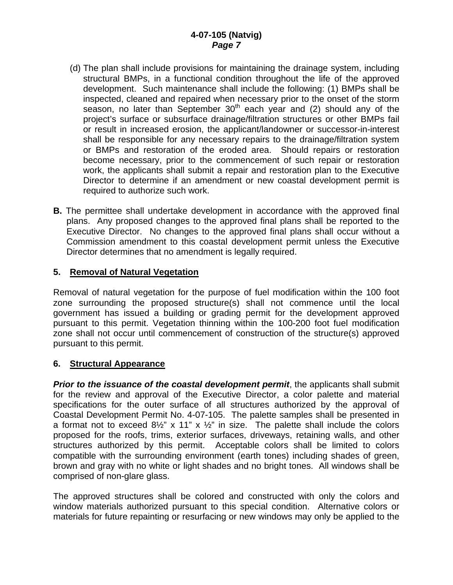- (d) The plan shall include provisions for maintaining the drainage system, including structural BMPs, in a functional condition throughout the life of the approved development. Such maintenance shall include the following: (1) BMPs shall be inspected, cleaned and repaired when necessary prior to the onset of the storm season, no later than September  $30<sup>th</sup>$  each year and (2) should any of the project's surface or subsurface drainage/filtration structures or other BMPs fail or result in increased erosion, the applicant/landowner or successor-in-interest shall be responsible for any necessary repairs to the drainage/filtration system or BMPs and restoration of the eroded area. Should repairs or restoration become necessary, prior to the commencement of such repair or restoration work, the applicants shall submit a repair and restoration plan to the Executive Director to determine if an amendment or new coastal development permit is required to authorize such work.
- **B.** The permittee shall undertake development in accordance with the approved final plans. Any proposed changes to the approved final plans shall be reported to the Executive Director. No changes to the approved final plans shall occur without a Commission amendment to this coastal development permit unless the Executive Director determines that no amendment is legally required.

#### **5. Removal of Natural Vegetation**

Removal of natural vegetation for the purpose of fuel modification within the 100 foot zone surrounding the proposed structure(s) shall not commence until the local government has issued a building or grading permit for the development approved pursuant to this permit. Vegetation thinning within the 100-200 foot fuel modification zone shall not occur until commencement of construction of the structure(s) approved pursuant to this permit.

### **6. Structural Appearance**

*Prior to the issuance of the coastal development permit, the applicants shall submit* for the review and approval of the Executive Director, a color palette and material specifications for the outer surface of all structures authorized by the approval of Coastal Development Permit No. 4-07-105. The palette samples shall be presented in a format not to exceed  $8\frac{1}{2}$ " x 11" x  $\frac{1}{2}$ " in size. The palette shall include the colors proposed for the roofs, trims, exterior surfaces, driveways, retaining walls, and other structures authorized by this permit. Acceptable colors shall be limited to colors compatible with the surrounding environment (earth tones) including shades of green, brown and gray with no white or light shades and no bright tones. All windows shall be comprised of non-glare glass.

The approved structures shall be colored and constructed with only the colors and window materials authorized pursuant to this special condition. Alternative colors or materials for future repainting or resurfacing or new windows may only be applied to the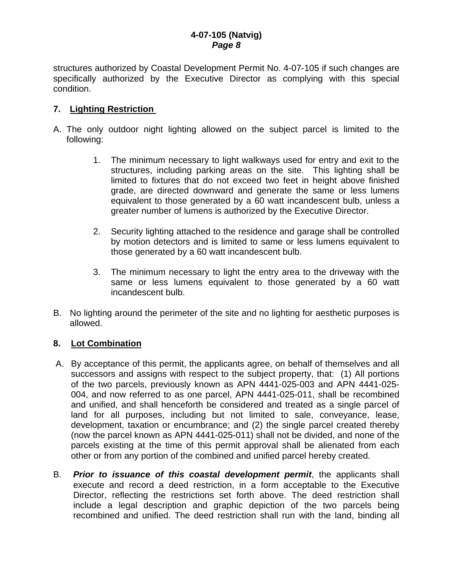#### **4-07-105 (Natvig)**  *Page 8*

structures authorized by Coastal Development Permit No. 4-07-105 if such changes are specifically authorized by the Executive Director as complying with this special condition.

#### **7. Lighting Restriction**

- A. The only outdoor night lighting allowed on the subject parcel is limited to the following:
	- 1. The minimum necessary to light walkways used for entry and exit to the structures, including parking areas on the site. This lighting shall be limited to fixtures that do not exceed two feet in height above finished grade, are directed downward and generate the same or less lumens equivalent to those generated by a 60 watt incandescent bulb, unless a greater number of lumens is authorized by the Executive Director.
	- 2. Security lighting attached to the residence and garage shall be controlled by motion detectors and is limited to same or less lumens equivalent to those generated by a 60 watt incandescent bulb.
	- 3. The minimum necessary to light the entry area to the driveway with the same or less lumens equivalent to those generated by a 60 watt incandescent bulb.
- B. No lighting around the perimeter of the site and no lighting for aesthetic purposes is allowed.

#### **8. Lot Combination**

- A. By acceptance of this permit, the applicants agree, on behalf of themselves and all successors and assigns with respect to the subject property, that: (1) All portions of the two parcels, previously known as APN 4441-025-003 and APN 4441-025- 004, and now referred to as one parcel, APN 4441-025-011, shall be recombined and unified, and shall henceforth be considered and treated as a single parcel of land for all purposes, including but not limited to sale, conveyance, lease, development, taxation or encumbrance; and (2) the single parcel created thereby (now the parcel known as APN 4441-025-011) shall not be divided, and none of the parcels existing at the time of this permit approval shall be alienated from each other or from any portion of the combined and unified parcel hereby created.
- B. *Prior to issuance of this coastal development permit*, the applicants shall execute and record a deed restriction, in a form acceptable to the Executive Director, reflecting the restrictions set forth above. The deed restriction shall include a legal description and graphic depiction of the two parcels being recombined and unified. The deed restriction shall run with the land, binding all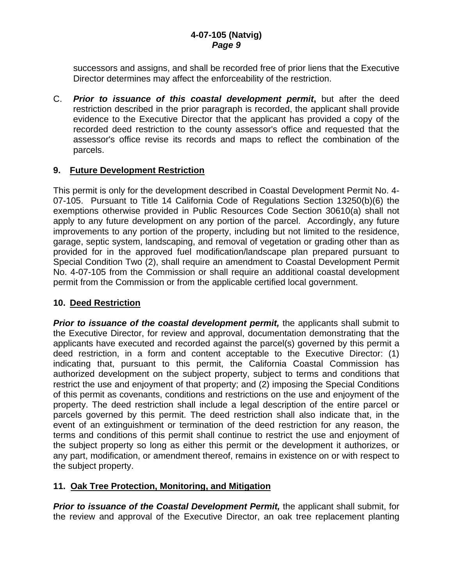successors and assigns, and shall be recorded free of prior liens that the Executive Director determines may affect the enforceability of the restriction.

C. *Prior to issuance of this coastal development permit***,** but after the deed restriction described in the prior paragraph is recorded, the applicant shall provide evidence to the Executive Director that the applicant has provided a copy of the recorded deed restriction to the county assessor's office and requested that the assessor's office revise its records and maps to reflect the combination of the parcels.

#### **9. Future Development Restriction**

This permit is only for the development described in Coastal Development Permit No. 4- 07-105. Pursuant to Title 14 California Code of Regulations Section 13250(b)(6) the exemptions otherwise provided in Public Resources Code Section 30610(a) shall not apply to any future development on any portion of the parcel. Accordingly, any future improvements to any portion of the property, including but not limited to the residence, garage, septic system, landscaping, and removal of vegetation or grading other than as provided for in the approved fuel modification/landscape plan prepared pursuant to Special Condition Two (2), shall require an amendment to Coastal Development Permit No. 4-07-105 from the Commission or shall require an additional coastal development permit from the Commission or from the applicable certified local government.

#### **10. Deed Restriction**

*Prior to issuance of the coastal development permit,* the applicants shall submit to the Executive Director, for review and approval, documentation demonstrating that the applicants have executed and recorded against the parcel(s) governed by this permit a deed restriction, in a form and content acceptable to the Executive Director: (1) indicating that, pursuant to this permit, the California Coastal Commission has authorized development on the subject property, subject to terms and conditions that restrict the use and enjoyment of that property; and (2) imposing the Special Conditions of this permit as covenants, conditions and restrictions on the use and enjoyment of the property. The deed restriction shall include a legal description of the entire parcel or parcels governed by this permit. The deed restriction shall also indicate that, in the event of an extinguishment or termination of the deed restriction for any reason, the terms and conditions of this permit shall continue to restrict the use and enjoyment of the subject property so long as either this permit or the development it authorizes, or any part, modification, or amendment thereof, remains in existence on or with respect to the subject property.

### **11. Oak Tree Protection, Monitoring, and Mitigation**

*Prior to issuance of the Coastal Development Permit,* the applicant shall submit, for the review and approval of the Executive Director, an oak tree replacement planting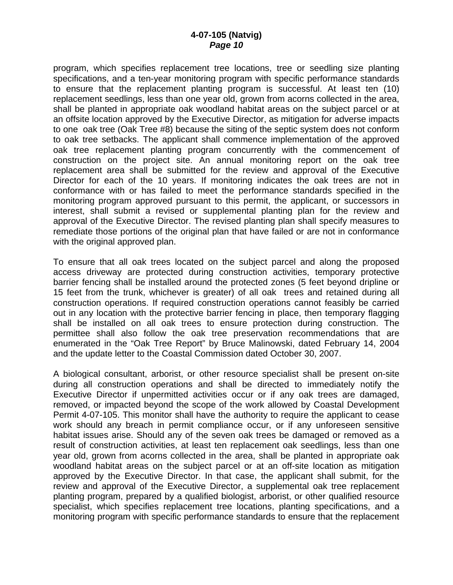program, which specifies replacement tree locations, tree or seedling size planting specifications, and a ten-year monitoring program with specific performance standards to ensure that the replacement planting program is successful. At least ten (10) replacement seedlings, less than one year old, grown from acorns collected in the area, shall be planted in appropriate oak woodland habitat areas on the subject parcel or at an offsite location approved by the Executive Director, as mitigation for adverse impacts to one oak tree (Oak Tree #8) because the siting of the septic system does not conform to oak tree setbacks. The applicant shall commence implementation of the approved oak tree replacement planting program concurrently with the commencement of construction on the project site. An annual monitoring report on the oak tree replacement area shall be submitted for the review and approval of the Executive Director for each of the 10 years. If monitoring indicates the oak trees are not in conformance with or has failed to meet the performance standards specified in the monitoring program approved pursuant to this permit, the applicant, or successors in interest, shall submit a revised or supplemental planting plan for the review and approval of the Executive Director. The revised planting plan shall specify measures to remediate those portions of the original plan that have failed or are not in conformance with the original approved plan.

To ensure that all oak trees located on the subject parcel and along the proposed access driveway are protected during construction activities, temporary protective barrier fencing shall be installed around the protected zones (5 feet beyond dripline or 15 feet from the trunk, whichever is greater) of all oak trees and retained during all construction operations. If required construction operations cannot feasibly be carried out in any location with the protective barrier fencing in place, then temporary flagging shall be installed on all oak trees to ensure protection during construction. The permittee shall also follow the oak tree preservation recommendations that are enumerated in the "Oak Tree Report" by Bruce Malinowski, dated February 14, 2004 and the update letter to the Coastal Commission dated October 30, 2007.

A biological consultant, arborist, or other resource specialist shall be present on-site during all construction operations and shall be directed to immediately notify the Executive Director if unpermitted activities occur or if any oak trees are damaged, removed, or impacted beyond the scope of the work allowed by Coastal Development Permit 4-07-105. This monitor shall have the authority to require the applicant to cease work should any breach in permit compliance occur, or if any unforeseen sensitive habitat issues arise. Should any of the seven oak trees be damaged or removed as a result of construction activities, at least ten replacement oak seedlings, less than one year old, grown from acorns collected in the area, shall be planted in appropriate oak woodland habitat areas on the subject parcel or at an off-site location as mitigation approved by the Executive Director. In that case, the applicant shall submit, for the review and approval of the Executive Director, a supplemental oak tree replacement planting program, prepared by a qualified biologist, arborist, or other qualified resource specialist, which specifies replacement tree locations, planting specifications, and a monitoring program with specific performance standards to ensure that the replacement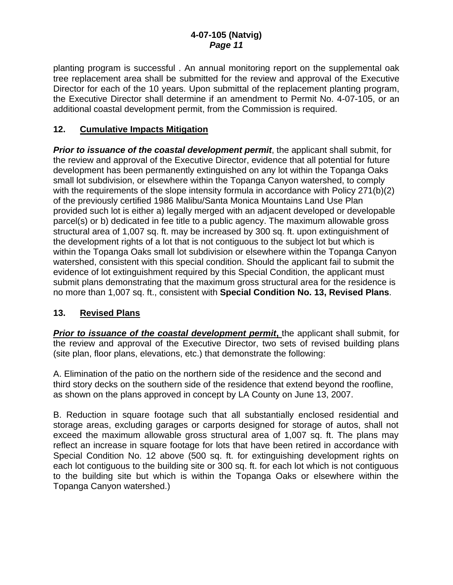planting program is successful . An annual monitoring report on the supplemental oak tree replacement area shall be submitted for the review and approval of the Executive Director for each of the 10 years. Upon submittal of the replacement planting program, the Executive Director shall determine if an amendment to Permit No. 4-07-105, or an additional coastal development permit, from the Commission is required.

### **12. Cumulative Impacts Mitigation**

*Prior to issuance of the coastal development permit*, the applicant shall submit, for the review and approval of the Executive Director, evidence that all potential for future development has been permanently extinguished on any lot within the Topanga Oaks small lot subdivision, or elsewhere within the Topanga Canyon watershed, to comply with the requirements of the slope intensity formula in accordance with Policy 271(b)(2) of the previously certified 1986 Malibu/Santa Monica Mountains Land Use Plan provided such lot is either a) legally merged with an adjacent developed or developable parcel(s) or b) dedicated in fee title to a public agency. The maximum allowable gross structural area of 1,007 sq. ft. may be increased by 300 sq. ft. upon extinguishment of the development rights of a lot that is not contiguous to the subject lot but which is within the Topanga Oaks small lot subdivision or elsewhere within the Topanga Canyon watershed, consistent with this special condition. Should the applicant fail to submit the evidence of lot extinguishment required by this Special Condition, the applicant must submit plans demonstrating that the maximum gross structural area for the residence is no more than 1,007 sq. ft., consistent with **Special Condition No. 13, Revised Plans**.

#### **13. Revised Plans**

**Prior to issuance of the coastal development permit, the applicant shall submit, for** the review and approval of the Executive Director, two sets of revised building plans (site plan, floor plans, elevations, etc.) that demonstrate the following:

A. Elimination of the patio on the northern side of the residence and the second and third story decks on the southern side of the residence that extend beyond the roofline, as shown on the plans approved in concept by LA County on June 13, 2007.

B. Reduction in square footage such that all substantially enclosed residential and storage areas, excluding garages or carports designed for storage of autos, shall not exceed the maximum allowable gross structural area of 1,007 sq. ft. The plans may reflect an increase in square footage for lots that have been retired in accordance with Special Condition No. 12 above (500 sq. ft. for extinguishing development rights on each lot contiguous to the building site or 300 sq. ft. for each lot which is not contiguous to the building site but which is within the Topanga Oaks or elsewhere within the Topanga Canyon watershed.)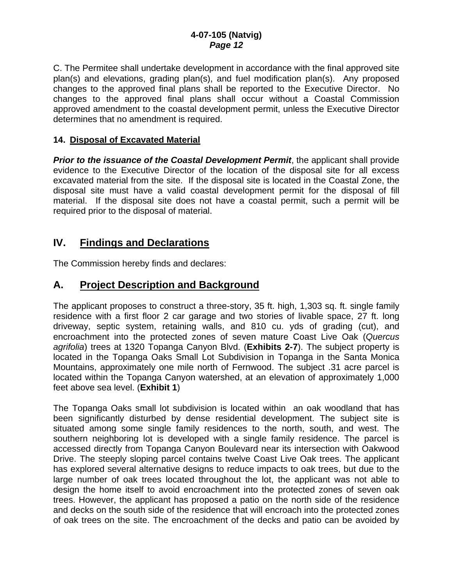C. The Permitee shall undertake development in accordance with the final approved site plan(s) and elevations, grading plan(s), and fuel modification plan(s). Any proposed changes to the approved final plans shall be reported to the Executive Director. No changes to the approved final plans shall occur without a Coastal Commission approved amendment to the coastal development permit, unless the Executive Director determines that no amendment is required.

#### **14. Disposal of Excavated Material**

**Prior to the issuance of the Coastal Development Permit**, the applicant shall provide evidence to the Executive Director of the location of the disposal site for all excess excavated material from the site. If the disposal site is located in the Coastal Zone, the disposal site must have a valid coastal development permit for the disposal of fill material. If the disposal site does not have a coastal permit, such a permit will be required prior to the disposal of material.

### **IV. Findings and Declarations**

The Commission hereby finds and declares:

### **A. Project Description and Background**

The applicant proposes to construct a three-story, 35 ft. high, 1,303 sq. ft. single family residence with a first floor 2 car garage and two stories of livable space, 27 ft. long driveway, septic system, retaining walls, and 810 cu. yds of grading (cut), and encroachment into the protected zones of seven mature Coast Live Oak (*Quercus agrifolia*) trees at 1320 Topanga Canyon Blvd. (**Exhibits 2-7**). The subject property is located in the Topanga Oaks Small Lot Subdivision in Topanga in the Santa Monica Mountains, approximately one mile north of Fernwood. The subject .31 acre parcel is located within the Topanga Canyon watershed, at an elevation of approximately 1,000 feet above sea level. (**Exhibit 1**)

The Topanga Oaks small lot subdivision is located within an oak woodland that has been significantly disturbed by dense residential development. The subject site is situated among some single family residences to the north, south, and west. The southern neighboring lot is developed with a single family residence. The parcel is accessed directly from Topanga Canyon Boulevard near its intersection with Oakwood Drive. The steeply sloping parcel contains twelve Coast Live Oak trees. The applicant has explored several alternative designs to reduce impacts to oak trees, but due to the large number of oak trees located throughout the lot, the applicant was not able to design the home itself to avoid encroachment into the protected zones of seven oak trees. However, the applicant has proposed a patio on the north side of the residence and decks on the south side of the residence that will encroach into the protected zones of oak trees on the site. The encroachment of the decks and patio can be avoided by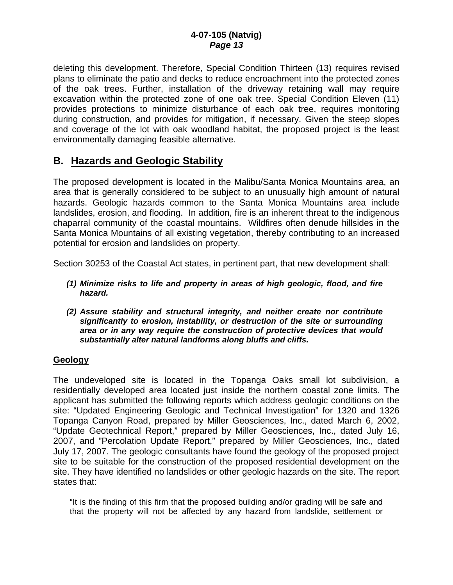deleting this development. Therefore, Special Condition Thirteen (13) requires revised plans to eliminate the patio and decks to reduce encroachment into the protected zones of the oak trees. Further, installation of the driveway retaining wall may require excavation within the protected zone of one oak tree. Special Condition Eleven (11) provides protections to minimize disturbance of each oak tree, requires monitoring during construction, and provides for mitigation, if necessary. Given the steep slopes and coverage of the lot with oak woodland habitat, the proposed project is the least environmentally damaging feasible alternative.

### **B. Hazards and Geologic Stability**

The proposed development is located in the Malibu/Santa Monica Mountains area, an area that is generally considered to be subject to an unusually high amount of natural hazards. Geologic hazards common to the Santa Monica Mountains area include landslides, erosion, and flooding. In addition, fire is an inherent threat to the indigenous chaparral community of the coastal mountains. Wildfires often denude hillsides in the Santa Monica Mountains of all existing vegetation, thereby contributing to an increased potential for erosion and landslides on property.

Section 30253 of the Coastal Act states, in pertinent part, that new development shall:

- *(1) Minimize risks to life and property in areas of high geologic, flood, and fire hazard.*
- *(2) Assure stability and structural integrity, and neither create nor contribute significantly to erosion, instability, or destruction of the site or surrounding area or in any way require the construction of protective devices that would substantially alter natural landforms along bluffs and cliffs.*

#### **Geology**

The undeveloped site is located in the Topanga Oaks small lot subdivision, a residentially developed area located just inside the northern coastal zone limits. The applicant has submitted the following reports which address geologic conditions on the site: "Updated Engineering Geologic and Technical Investigation" for 1320 and 1326 Topanga Canyon Road, prepared by Miller Geosciences, Inc., dated March 6, 2002, "Update Geotechnical Report," prepared by Miller Geosciences, Inc., dated July 16, 2007, and "Percolation Update Report," prepared by Miller Geosciences, Inc., dated July 17, 2007. The geologic consultants have found the geology of the proposed project site to be suitable for the construction of the proposed residential development on the site. They have identified no landslides or other geologic hazards on the site. The report states that:

"It is the finding of this firm that the proposed building and/or grading will be safe and that the property will not be affected by any hazard from landslide, settlement or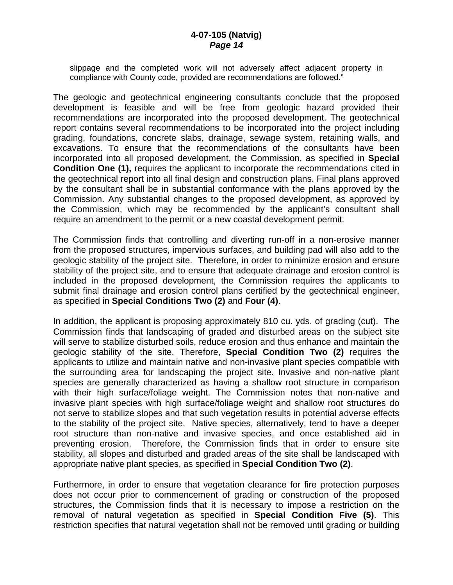slippage and the completed work will not adversely affect adjacent property in compliance with County code, provided are recommendations are followed."

The geologic and geotechnical engineering consultants conclude that the proposed development is feasible and will be free from geologic hazard provided their recommendations are incorporated into the proposed development. The geotechnical report contains several recommendations to be incorporated into the project including grading, foundations, concrete slabs, drainage, sewage system, retaining walls, and excavations. To ensure that the recommendations of the consultants have been incorporated into all proposed development, the Commission, as specified in **Special Condition One (1), requires the applicant to incorporate the recommendations cited in** the geotechnical report into all final design and construction plans. Final plans approved by the consultant shall be in substantial conformance with the plans approved by the Commission. Any substantial changes to the proposed development, as approved by the Commission, which may be recommended by the applicant's consultant shall require an amendment to the permit or a new coastal development permit.

The Commission finds that controlling and diverting run-off in a non-erosive manner from the proposed structures, impervious surfaces, and building pad will also add to the geologic stability of the project site. Therefore, in order to minimize erosion and ensure stability of the project site, and to ensure that adequate drainage and erosion control is included in the proposed development, the Commission requires the applicants to submit final drainage and erosion control plans certified by the geotechnical engineer, as specified in **Special Conditions Two (2)** and **Four (4)**.

In addition, the applicant is proposing approximately 810 cu. yds. of grading (cut). The Commission finds that landscaping of graded and disturbed areas on the subject site will serve to stabilize disturbed soils, reduce erosion and thus enhance and maintain the geologic stability of the site. Therefore, **Special Condition Two (2)** requires the applicants to utilize and maintain native and non-invasive plant species compatible with the surrounding area for landscaping the project site. Invasive and non-native plant species are generally characterized as having a shallow root structure in comparison with their high surface/foliage weight. The Commission notes that non-native and invasive plant species with high surface/foliage weight and shallow root structures do not serve to stabilize slopes and that such vegetation results in potential adverse effects to the stability of the project site. Native species, alternatively, tend to have a deeper root structure than non-native and invasive species, and once established aid in preventing erosion. Therefore, the Commission finds that in order to ensure site stability, all slopes and disturbed and graded areas of the site shall be landscaped with appropriate native plant species, as specified in **Special Condition Two (2)**.

Furthermore, in order to ensure that vegetation clearance for fire protection purposes does not occur prior to commencement of grading or construction of the proposed structures, the Commission finds that it is necessary to impose a restriction on the removal of natural vegetation as specified in **Special Condition Five (5)**. This restriction specifies that natural vegetation shall not be removed until grading or building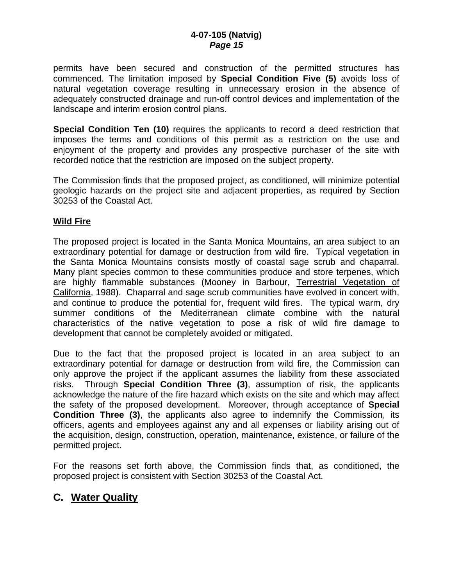permits have been secured and construction of the permitted structures has commenced. The limitation imposed by **Special Condition Five (5)** avoids loss of natural vegetation coverage resulting in unnecessary erosion in the absence of adequately constructed drainage and run-off control devices and implementation of the landscape and interim erosion control plans.

**Special Condition Ten (10)** requires the applicants to record a deed restriction that imposes the terms and conditions of this permit as a restriction on the use and enjoyment of the property and provides any prospective purchaser of the site with recorded notice that the restriction are imposed on the subject property.

The Commission finds that the proposed project, as conditioned, will minimize potential geologic hazards on the project site and adjacent properties, as required by Section 30253 of the Coastal Act.

#### **Wild Fire**

The proposed project is located in the Santa Monica Mountains, an area subject to an extraordinary potential for damage or destruction from wild fire. Typical vegetation in the Santa Monica Mountains consists mostly of coastal sage scrub and chaparral. Many plant species common to these communities produce and store terpenes, which are highly flammable substances (Mooney in Barbour, Terrestrial Vegetation of California, 1988). Chaparral and sage scrub communities have evolved in concert with, and continue to produce the potential for, frequent wild fires. The typical warm, dry summer conditions of the Mediterranean climate combine with the natural characteristics of the native vegetation to pose a risk of wild fire damage to development that cannot be completely avoided or mitigated.

Due to the fact that the proposed project is located in an area subject to an extraordinary potential for damage or destruction from wild fire, the Commission can only approve the project if the applicant assumes the liability from these associated risks. Through **Special Condition Three (3)**, assumption of risk, the applicants acknowledge the nature of the fire hazard which exists on the site and which may affect the safety of the proposed development. Moreover, through acceptance of **Special Condition Three (3)**, the applicants also agree to indemnify the Commission, its officers, agents and employees against any and all expenses or liability arising out of the acquisition, design, construction, operation, maintenance, existence, or failure of the permitted project.

For the reasons set forth above, the Commission finds that, as conditioned, the proposed project is consistent with Section 30253 of the Coastal Act.

# **C. Water Quality**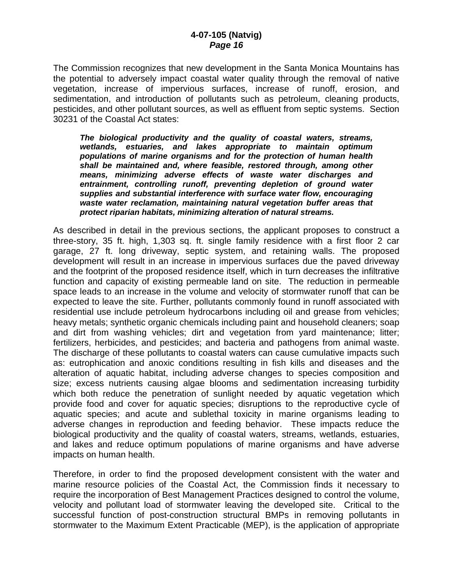The Commission recognizes that new development in the Santa Monica Mountains has the potential to adversely impact coastal water quality through the removal of native vegetation, increase of impervious surfaces, increase of runoff, erosion, and sedimentation, and introduction of pollutants such as petroleum, cleaning products, pesticides, and other pollutant sources, as well as effluent from septic systems. Section 30231 of the Coastal Act states:

*The biological productivity and the quality of coastal waters, streams, wetlands, estuaries, and lakes appropriate to maintain optimum populations of marine organisms and for the protection of human health shall be maintained and, where feasible, restored through, among other means, minimizing adverse effects of waste water discharges and entrainment, controlling runoff, preventing depletion of ground water supplies and substantial interference with surface water flow, encouraging waste water reclamation, maintaining natural vegetation buffer areas that protect riparian habitats, minimizing alteration of natural streams.* 

As described in detail in the previous sections, the applicant proposes to construct a three-story, 35 ft. high, 1,303 sq. ft. single family residence with a first floor 2 car garage, 27 ft. long driveway, septic system, and retaining walls. The proposed development will result in an increase in impervious surfaces due the paved driveway and the footprint of the proposed residence itself, which in turn decreases the infiltrative function and capacity of existing permeable land on site. The reduction in permeable space leads to an increase in the volume and velocity of stormwater runoff that can be expected to leave the site. Further, pollutants commonly found in runoff associated with residential use include petroleum hydrocarbons including oil and grease from vehicles; heavy metals; synthetic organic chemicals including paint and household cleaners; soap and dirt from washing vehicles; dirt and vegetation from yard maintenance; litter; fertilizers, herbicides, and pesticides; and bacteria and pathogens from animal waste. The discharge of these pollutants to coastal waters can cause cumulative impacts such as: eutrophication and anoxic conditions resulting in fish kills and diseases and the alteration of aquatic habitat, including adverse changes to species composition and size; excess nutrients causing algae blooms and sedimentation increasing turbidity which both reduce the penetration of sunlight needed by aquatic vegetation which provide food and cover for aquatic species; disruptions to the reproductive cycle of aquatic species; and acute and sublethal toxicity in marine organisms leading to adverse changes in reproduction and feeding behavior. These impacts reduce the biological productivity and the quality of coastal waters, streams, wetlands, estuaries, and lakes and reduce optimum populations of marine organisms and have adverse impacts on human health.

Therefore, in order to find the proposed development consistent with the water and marine resource policies of the Coastal Act, the Commission finds it necessary to require the incorporation of Best Management Practices designed to control the volume, velocity and pollutant load of stormwater leaving the developed site. Critical to the successful function of post-construction structural BMPs in removing pollutants in stormwater to the Maximum Extent Practicable (MEP), is the application of appropriate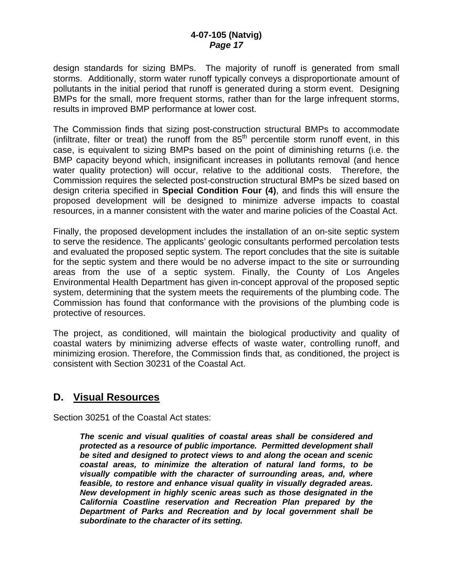#### **4-07-105 (Natvig)**  *Page 17*

design standards for sizing BMPs. The majority of runoff is generated from small storms. Additionally, storm water runoff typically conveys a disproportionate amount of pollutants in the initial period that runoff is generated during a storm event. Designing BMPs for the small, more frequent storms, rather than for the large infrequent storms, results in improved BMP performance at lower cost.

The Commission finds that sizing post-construction structural BMPs to accommodate (infiltrate, filter or treat) the runoff from the 85th percentile storm runoff event, in this case, is equivalent to sizing BMPs based on the point of diminishing returns (i.e. the BMP capacity beyond which, insignificant increases in pollutants removal (and hence water quality protection) will occur, relative to the additional costs. Therefore, the Commission requires the selected post-construction structural BMPs be sized based on design criteria specified in **Special Condition Four (4)**, and finds this will ensure the proposed development will be designed to minimize adverse impacts to coastal resources, in a manner consistent with the water and marine policies of the Coastal Act.

Finally, the proposed development includes the installation of an on-site septic system to serve the residence. The applicants' geologic consultants performed percolation tests and evaluated the proposed septic system. The report concludes that the site is suitable for the septic system and there would be no adverse impact to the site or surrounding areas from the use of a septic system. Finally, the County of Los Angeles Environmental Health Department has given in-concept approval of the proposed septic system, determining that the system meets the requirements of the plumbing code. The Commission has found that conformance with the provisions of the plumbing code is protective of resources.

The project, as conditioned, will maintain the biological productivity and quality of coastal waters by minimizing adverse effects of waste water, controlling runoff, and minimizing erosion. Therefore, the Commission finds that, as conditioned, the project is consistent with Section 30231 of the Coastal Act.

### **D. Visual Resources**

Section 30251 of the Coastal Act states:

*The scenic and visual qualities of coastal areas shall be considered and protected as a resource of public importance. Permitted development shall be sited and designed to protect views to and along the ocean and scenic coastal areas, to minimize the alteration of natural land forms, to be visually compatible with the character of surrounding areas, and, where feasible, to restore and enhance visual quality in visually degraded areas. New development in highly scenic areas such as those designated in the California Coastline reservation and Recreation Plan prepared by the Department of Parks and Recreation and by local government shall be subordinate to the character of its setting.*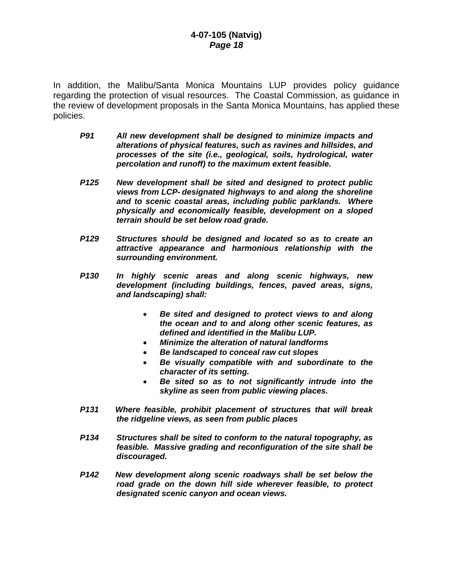In addition, the Malibu/Santa Monica Mountains LUP provides policy guidance regarding the protection of visual resources. The Coastal Commission, as guidance in the review of development proposals in the Santa Monica Mountains, has applied these policies.

- *P91 All new development shall be designed to minimize impacts and alterations of physical features, such as ravines and hillsides, and processes of the site (i.e., geological, soils, hydrological, water percolation and runoff) to the maximum extent feasible.*
- *P125 New development shall be sited and designed to protect public views from LCP- designated highways to and along the shoreline and to scenic coastal areas, including public parklands. Where physically and economically feasible, development on a sloped terrain should be set below road grade.*
- *P129 Structures should be designed and located so as to create an attractive appearance and harmonious relationship with the surrounding environment.*
- *P130 In highly scenic areas and along scenic highways, new development (including buildings, fences, paved areas, signs, and landscaping) shall:* 
	- *Be sited and designed to protect views to and along the ocean and to and along other scenic features, as defined and identified in the Malibu LUP.*
	- *Minimize the alteration of natural landforms*
	- *Be landscaped to conceal raw cut slopes*
	- *Be visually compatible with and subordinate to the character of its setting.*
	- *Be sited so as to not significantly intrude into the skyline as seen from public viewing places.*
- *P131 Where feasible, prohibit placement of structures that will break the ridgeline views, as seen from public places*
- *P134 Structures shall be sited to conform to the natural topography, as feasible. Massive grading and reconfiguration of the site shall be discouraged.*
- *P142 New development along scenic roadways shall be set below the road grade on the down hill side wherever feasible, to protect designated scenic canyon and ocean views.*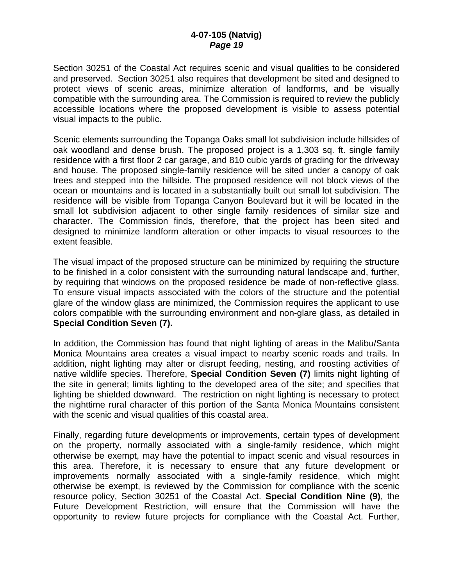#### **4-07-105 (Natvig)**  *Page 19*

Section 30251 of the Coastal Act requires scenic and visual qualities to be considered and preserved. Section 30251 also requires that development be sited and designed to protect views of scenic areas, minimize alteration of landforms, and be visually compatible with the surrounding area. The Commission is required to review the publicly accessible locations where the proposed development is visible to assess potential visual impacts to the public.

Scenic elements surrounding the Topanga Oaks small lot subdivision include hillsides of oak woodland and dense brush. The proposed project is a 1,303 sq. ft. single family residence with a first floor 2 car garage, and 810 cubic yards of grading for the driveway and house. The proposed single-family residence will be sited under a canopy of oak trees and stepped into the hillside. The proposed residence will not block views of the ocean or mountains and is located in a substantially built out small lot subdivision. The residence will be visible from Topanga Canyon Boulevard but it will be located in the small lot subdivision adjacent to other single family residences of similar size and character. The Commission finds, therefore, that the project has been sited and designed to minimize landform alteration or other impacts to visual resources to the extent feasible.

The visual impact of the proposed structure can be minimized by requiring the structure to be finished in a color consistent with the surrounding natural landscape and, further, by requiring that windows on the proposed residence be made of non-reflective glass. To ensure visual impacts associated with the colors of the structure and the potential glare of the window glass are minimized, the Commission requires the applicant to use colors compatible with the surrounding environment and non-glare glass, as detailed in **Special Condition Seven (7).**

In addition, the Commission has found that night lighting of areas in the Malibu/Santa Monica Mountains area creates a visual impact to nearby scenic roads and trails. In addition, night lighting may alter or disrupt feeding, nesting, and roosting activities of native wildlife species. Therefore, **Special Condition Seven (7)** limits night lighting of the site in general; limits lighting to the developed area of the site; and specifies that lighting be shielded downward. The restriction on night lighting is necessary to protect the nighttime rural character of this portion of the Santa Monica Mountains consistent with the scenic and visual qualities of this coastal area.

Finally, regarding future developments or improvements, certain types of development on the property, normally associated with a single-family residence, which might otherwise be exempt, may have the potential to impact scenic and visual resources in this area. Therefore, it is necessary to ensure that any future development or improvements normally associated with a single-family residence, which might otherwise be exempt, is reviewed by the Commission for compliance with the scenic resource policy, Section 30251 of the Coastal Act. **Special Condition Nine (9)**, the Future Development Restriction, will ensure that the Commission will have the opportunity to review future projects for compliance with the Coastal Act. Further,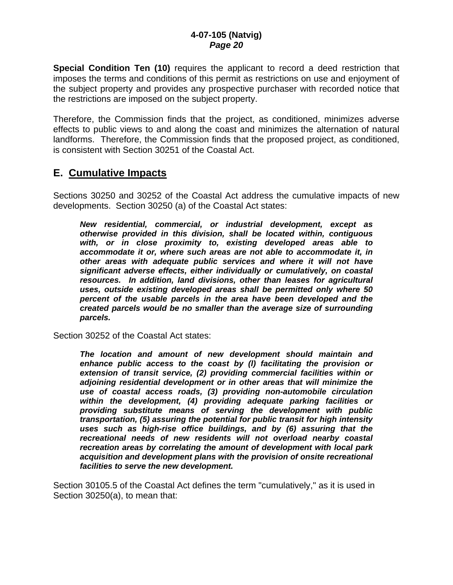**Special Condition Ten (10)** requires the applicant to record a deed restriction that imposes the terms and conditions of this permit as restrictions on use and enjoyment of the subject property and provides any prospective purchaser with recorded notice that the restrictions are imposed on the subject property.

Therefore, the Commission finds that the project, as conditioned, minimizes adverse effects to public views to and along the coast and minimizes the alternation of natural landforms. Therefore, the Commission finds that the proposed project, as conditioned, is consistent with Section 30251 of the Coastal Act.

### **E. Cumulative Impacts**

Sections 30250 and 30252 of the Coastal Act address the cumulative impacts of new developments. Section 30250 (a) of the Coastal Act states:

*New residential, commercial, or industrial development, except as otherwise provided in this division, shall be located within, contiguous with, or in close proximity to, existing developed areas able to accommodate it or, where such areas are not able to accommodate it, in other areas with adequate public services and where it will not have significant adverse effects, either individually or cumulatively, on coastal resources. In addition, land divisions, other than leases for agricultural uses, outside existing developed areas shall be permitted only where 50 percent of the usable parcels in the area have been developed and the created parcels would be no smaller than the average size of surrounding parcels.* 

Section 30252 of the Coastal Act states:

*The location and amount of new development should maintain and enhance public access to the coast by (l) facilitating the provision or extension of transit service, (2) providing commercial facilities within or adjoining residential development or in other areas that will minimize the use of coastal access roads, (3) providing non-automobile circulation within the development, (4) providing adequate parking facilities or providing substitute means of serving the development with public transportation, (5) assuring the potential for public transit for high intensity uses such as high-rise office buildings, and by (6) assuring that the recreational needs of new residents will not overload nearby coastal recreation areas by correlating the amount of development with local park acquisition and development plans with the provision of onsite recreational facilities to serve the new development.* 

Section 30105.5 of the Coastal Act defines the term "cumulatively," as it is used in Section 30250(a), to mean that: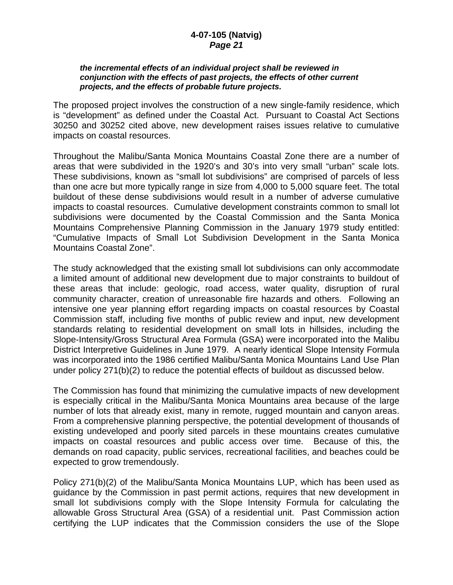#### **4-07-105 (Natvig)**  *Page 21*

#### *the incremental effects of an individual project shall be reviewed in conjunction with the effects of past projects, the effects of other current projects, and the effects of probable future projects.*

The proposed project involves the construction of a new single-family residence, which is "development" as defined under the Coastal Act. Pursuant to Coastal Act Sections 30250 and 30252 cited above, new development raises issues relative to cumulative impacts on coastal resources.

Throughout the Malibu/Santa Monica Mountains Coastal Zone there are a number of areas that were subdivided in the 1920's and 30's into very small "urban" scale lots. These subdivisions, known as "small lot subdivisions" are comprised of parcels of less than one acre but more typically range in size from 4,000 to 5,000 square feet. The total buildout of these dense subdivisions would result in a number of adverse cumulative impacts to coastal resources. Cumulative development constraints common to small lot subdivisions were documented by the Coastal Commission and the Santa Monica Mountains Comprehensive Planning Commission in the January 1979 study entitled: "Cumulative Impacts of Small Lot Subdivision Development in the Santa Monica Mountains Coastal Zone".

The study acknowledged that the existing small lot subdivisions can only accommodate a limited amount of additional new development due to major constraints to buildout of these areas that include: geologic, road access, water quality, disruption of rural community character, creation of unreasonable fire hazards and others. Following an intensive one year planning effort regarding impacts on coastal resources by Coastal Commission staff, including five months of public review and input, new development standards relating to residential development on small lots in hillsides, including the Slope-Intensity/Gross Structural Area Formula (GSA) were incorporated into the Malibu District Interpretive Guidelines in June 1979. A nearly identical Slope Intensity Formula was incorporated into the 1986 certified Malibu/Santa Monica Mountains Land Use Plan under policy 271(b)(2) to reduce the potential effects of buildout as discussed below.

The Commission has found that minimizing the cumulative impacts of new development is especially critical in the Malibu/Santa Monica Mountains area because of the large number of lots that already exist, many in remote, rugged mountain and canyon areas. From a comprehensive planning perspective, the potential development of thousands of existing undeveloped and poorly sited parcels in these mountains creates cumulative impacts on coastal resources and public access over time. Because of this, the demands on road capacity, public services, recreational facilities, and beaches could be expected to grow tremendously.

Policy 271(b)(2) of the Malibu/Santa Monica Mountains LUP, which has been used as guidance by the Commission in past permit actions, requires that new development in small lot subdivisions comply with the Slope Intensity Formula for calculating the allowable Gross Structural Area (GSA) of a residential unit. Past Commission action certifying the LUP indicates that the Commission considers the use of the Slope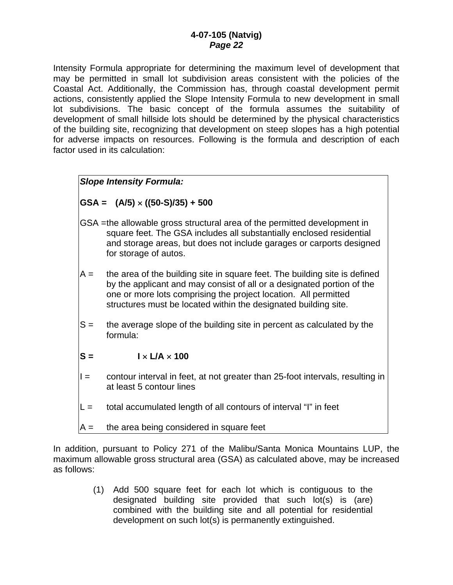Intensity Formula appropriate for determining the maximum level of development that may be permitted in small lot subdivision areas consistent with the policies of the Coastal Act. Additionally, the Commission has, through coastal development permit actions, consistently applied the Slope Intensity Formula to new development in small lot subdivisions. The basic concept of the formula assumes the suitability of development of small hillside lots should be determined by the physical characteristics of the building site, recognizing that development on steep slopes has a high potential for adverse impacts on resources. Following is the formula and description of each factor used in its calculation:

### *Slope Intensity Formula:*

**GSA = (A/5)** × **((50-S)/35) + 500** 

- GSA = the allowable gross structural area of the permitted development in square feet. The GSA includes all substantially enclosed residential and storage areas, but does not include garages or carports designed for storage of autos.
- A = the area of the building site in square feet. The building site is defined by the applicant and may consist of all or a designated portion of the one or more lots comprising the project location. All permitted structures must be located within the designated building site.
- $S =$  the average slope of the building site in percent as calculated by the formula:
- $S = \qquad \qquad I \times I/A \times 100$
- I = contour interval in feet, at not greater than 25-foot intervals, resulting in at least 5 contour lines
- $L =$  total accumulated length of all contours of interval "I" in feet
- $A =$  the area being considered in square feet

In addition, pursuant to Policy 271 of the Malibu/Santa Monica Mountains LUP, the maximum allowable gross structural area (GSA) as calculated above, may be increased as follows:

> (1) Add 500 square feet for each lot which is contiguous to the designated building site provided that such lot(s) is (are) combined with the building site and all potential for residential development on such lot(s) is permanently extinguished.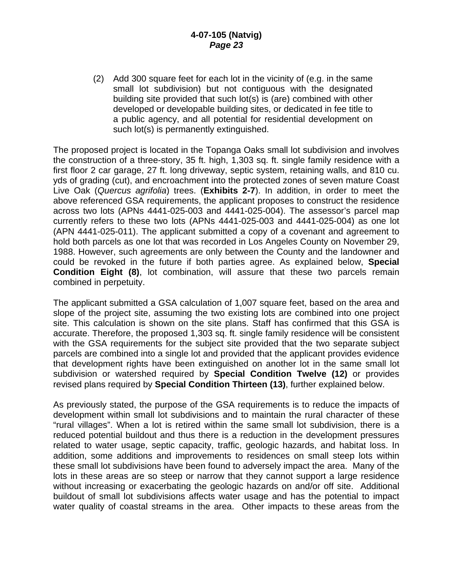(2) Add 300 square feet for each lot in the vicinity of (e.g. in the same small lot subdivision) but not contiguous with the designated building site provided that such lot(s) is (are) combined with other developed or developable building sites, or dedicated in fee title to a public agency, and all potential for residential development on such lot(s) is permanently extinguished.

The proposed project is located in the Topanga Oaks small lot subdivision and involves the construction of a three-story, 35 ft. high, 1,303 sq. ft. single family residence with a first floor 2 car garage, 27 ft. long driveway, septic system, retaining walls, and 810 cu. yds of grading (cut), and encroachment into the protected zones of seven mature Coast Live Oak (*Quercus agrifolia*) trees. (**Exhibits 2-7**). In addition, in order to meet the above referenced GSA requirements, the applicant proposes to construct the residence across two lots (APNs 4441-025-003 and 4441-025-004). The assessor's parcel map currently refers to these two lots (APNs 4441-025-003 and 4441-025-004) as one lot (APN 4441-025-011). The applicant submitted a copy of a covenant and agreement to hold both parcels as one lot that was recorded in Los Angeles County on November 29, 1988. However, such agreements are only between the County and the landowner and could be revoked in the future if both parties agree. As explained below, **Special Condition Eight (8)**, lot combination, will assure that these two parcels remain combined in perpetuity.

The applicant submitted a GSA calculation of 1,007 square feet, based on the area and slope of the project site, assuming the two existing lots are combined into one project site. This calculation is shown on the site plans. Staff has confirmed that this GSA is accurate. Therefore, the proposed 1,303 sq. ft. single family residence will be consistent with the GSA requirements for the subject site provided that the two separate subject parcels are combined into a single lot and provided that the applicant provides evidence that development rights have been extinguished on another lot in the same small lot subdivision or watershed required by **Special Condition Twelve (12)** or provides revised plans required by **Special Condition Thirteen (13)**, further explained below.

As previously stated, the purpose of the GSA requirements is to reduce the impacts of development within small lot subdivisions and to maintain the rural character of these "rural villages". When a lot is retired within the same small lot subdivision, there is a reduced potential buildout and thus there is a reduction in the development pressures related to water usage, septic capacity, traffic, geologic hazards, and habitat loss. In addition, some additions and improvements to residences on small steep lots within these small lot subdivisions have been found to adversely impact the area. Many of the lots in these areas are so steep or narrow that they cannot support a large residence without increasing or exacerbating the geologic hazards on and/or off site. Additional buildout of small lot subdivisions affects water usage and has the potential to impact water quality of coastal streams in the area. Other impacts to these areas from the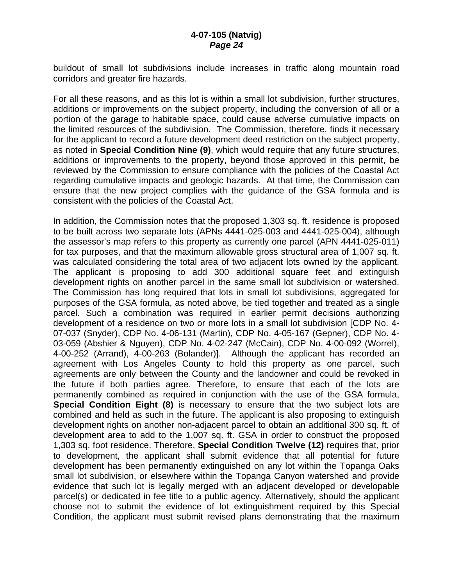buildout of small lot subdivisions include increases in traffic along mountain road corridors and greater fire hazards.

For all these reasons, and as this lot is within a small lot subdivision, further structures, additions or improvements on the subject property, including the conversion of all or a portion of the garage to habitable space, could cause adverse cumulative impacts on the limited resources of the subdivision. The Commission, therefore, finds it necessary for the applicant to record a future development deed restriction on the subject property, as noted in **Special Condition Nine (9)**, which would require that any future structures, additions or improvements to the property, beyond those approved in this permit, be reviewed by the Commission to ensure compliance with the policies of the Coastal Act regarding cumulative impacts and geologic hazards. At that time, the Commission can ensure that the new project complies with the guidance of the GSA formula and is consistent with the policies of the Coastal Act.

In addition, the Commission notes that the proposed 1,303 sq. ft. residence is proposed to be built across two separate lots (APNs 4441-025-003 and 4441-025-004), although the assessor's map refers to this property as currently one parcel (APN 4441-025-011) for tax purposes, and that the maximum allowable gross structural area of 1,007 sq. ft. was calculated considering the total area of two adjacent lots owned by the applicant. The applicant is proposing to add 300 additional square feet and extinguish development rights on another parcel in the same small lot subdivision or watershed. The Commission has long required that lots in small lot subdivisions, aggregated for purposes of the GSA formula, as noted above, be tied together and treated as a single parcel. Such a combination was required in earlier permit decisions authorizing development of a residence on two or more lots in a small lot subdivision [CDP No. 4- 07-037 (Snyder), CDP No. 4-06-131 (Martin), CDP No. 4-05-167 (Gepner), CDP No. 4- 03-059 (Abshier & Nguyen), CDP No. 4-02-247 (McCain), CDP No. 4-00-092 (Worrel), 4-00-252 (Arrand), 4-00-263 (Bolander)]. Although the applicant has recorded an agreement with Los Angeles County to hold this property as one parcel, such agreements are only between the County and the landowner and could be revoked in the future if both parties agree. Therefore, to ensure that each of the lots are permanently combined as required in conjunction with the use of the GSA formula, **Special Condition Eight (8)** is necessary to ensure that the two subject lots are combined and held as such in the future. The applicant is also proposing to extinguish development rights on another non-adjacent parcel to obtain an additional 300 sq. ft. of development area to add to the 1,007 sq. ft. GSA in order to construct the proposed 1,303 sq. foot residence. Therefore, **Special Condition Twelve (12)** requires that, prior to development, the applicant shall submit evidence that all potential for future development has been permanently extinguished on any lot within the Topanga Oaks small lot subdivision, or elsewhere within the Topanga Canyon watershed and provide evidence that such lot is legally merged with an adjacent developed or developable parcel(s) or dedicated in fee title to a public agency. Alternatively, should the applicant choose not to submit the evidence of lot extinguishment required by this Special Condition, the applicant must submit revised plans demonstrating that the maximum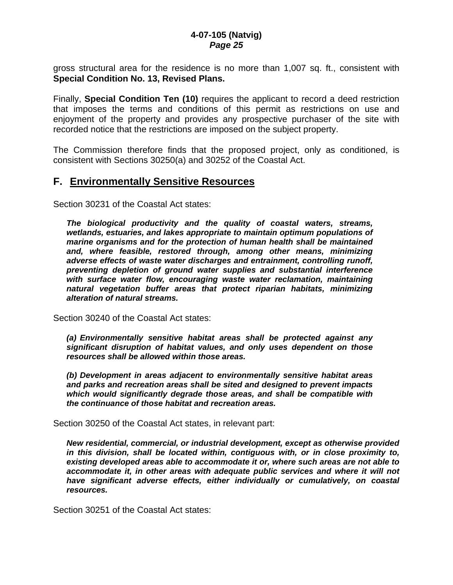gross structural area for the residence is no more than 1,007 sq. ft., consistent with **Special Condition No. 13, Revised Plans.**

Finally, **Special Condition Ten (10)** requires the applicant to record a deed restriction that imposes the terms and conditions of this permit as restrictions on use and enjoyment of the property and provides any prospective purchaser of the site with recorded notice that the restrictions are imposed on the subject property.

The Commission therefore finds that the proposed project, only as conditioned, is consistent with Sections 30250(a) and 30252 of the Coastal Act.

### **F. Environmentally Sensitive Resources**

Section 30231 of the Coastal Act states:

*The biological productivity and the quality of coastal waters, streams, wetlands, estuaries, and lakes appropriate to maintain optimum populations of marine organisms and for the protection of human health shall be maintained and, where feasible, restored through, among other means, minimizing adverse effects of waste water discharges and entrainment, controlling runoff, preventing depletion of ground water supplies and substantial interference with surface water flow, encouraging waste water reclamation, maintaining natural vegetation buffer areas that protect riparian habitats, minimizing alteration of natural streams.* 

Section 30240 of the Coastal Act states:

*(a) Environmentally sensitive habitat areas shall be protected against any significant disruption of habitat values, and only uses dependent on those resources shall be allowed within those areas.* 

*(b) Development in areas adjacent to environmentally sensitive habitat areas and parks and recreation areas shall be sited and designed to prevent impacts which would significantly degrade those areas, and shall be compatible with the continuance of those habitat and recreation areas.* 

Section 30250 of the Coastal Act states, in relevant part:

*New residential, commercial, or industrial development, except as otherwise provided in this division, shall be located within, contiguous with, or in close proximity to, existing developed areas able to accommodate it or, where such areas are not able to accommodate it, in other areas with adequate public services and where it will not*  have significant adverse effects, either individually or cumulatively, on coastal *resources.* 

Section 30251 of the Coastal Act states: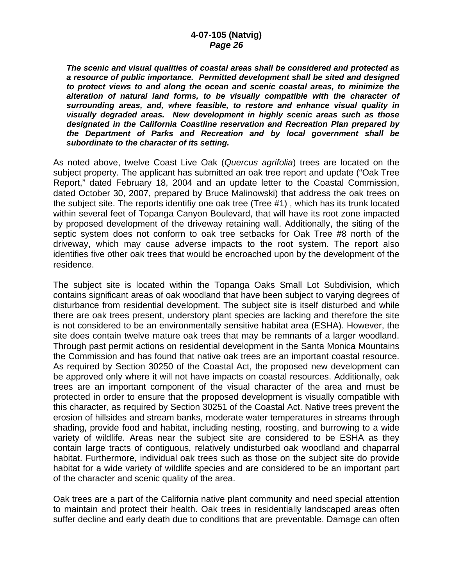*The scenic and visual qualities of coastal areas shall be considered and protected as a resource of public importance. Permitted development shall be sited and designed to protect views to and along the ocean and scenic coastal areas, to minimize the alteration of natural land forms, to be visually compatible with the character of surrounding areas, and, where feasible, to restore and enhance visual quality in visually degraded areas. New development in highly scenic areas such as those designated in the California Coastline reservation and Recreation Plan prepared by the Department of Parks and Recreation and by local government shall be subordinate to the character of its setting.*

As noted above, twelve Coast Live Oak (*Quercus agrifolia*) trees are located on the subject property. The applicant has submitted an oak tree report and update ("Oak Tree Report," dated February 18, 2004 and an update letter to the Coastal Commission, dated October 30, 2007, prepared by Bruce Malinowski) that address the oak trees on the subject site. The reports identifiy one oak tree (Tree #1) , which has its trunk located within several feet of Topanga Canyon Boulevard, that will have its root zone impacted by proposed development of the driveway retaining wall. Additionally, the siting of the septic system does not conform to oak tree setbacks for Oak Tree #8 north of the driveway, which may cause adverse impacts to the root system. The report also identifies five other oak trees that would be encroached upon by the development of the residence.

The subject site is located within the Topanga Oaks Small Lot Subdivision, which contains significant areas of oak woodland that have been subject to varying degrees of disturbance from residential development. The subject site is itself disturbed and while there are oak trees present, understory plant species are lacking and therefore the site is not considered to be an environmentally sensitive habitat area (ESHA). However, the site does contain twelve mature oak trees that may be remnants of a larger woodland. Through past permit actions on residential development in the Santa Monica Mountains the Commission and has found that native oak trees are an important coastal resource. As required by Section 30250 of the Coastal Act, the proposed new development can be approved only where it will not have impacts on coastal resources. Additionally, oak trees are an important component of the visual character of the area and must be protected in order to ensure that the proposed development is visually compatible with this character, as required by Section 30251 of the Coastal Act. Native trees prevent the erosion of hillsides and stream banks, moderate water temperatures in streams through shading, provide food and habitat, including nesting, roosting, and burrowing to a wide variety of wildlife. Areas near the subject site are considered to be ESHA as they contain large tracts of contiguous, relatively undisturbed oak woodland and chaparral habitat. Furthermore, individual oak trees such as those on the subject site do provide habitat for a wide variety of wildlife species and are considered to be an important part of the character and scenic quality of the area.

Oak trees are a part of the California native plant community and need special attention to maintain and protect their health. Oak trees in residentially landscaped areas often suffer decline and early death due to conditions that are preventable. Damage can often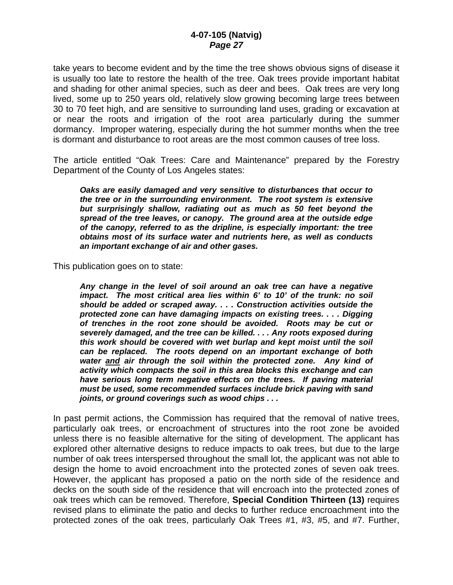take years to become evident and by the time the tree shows obvious signs of disease it is usually too late to restore the health of the tree. Oak trees provide important habitat and shading for other animal species, such as deer and bees. Oak trees are very long lived, some up to 250 years old, relatively slow growing becoming large trees between 30 to 70 feet high, and are sensitive to surrounding land uses, grading or excavation at or near the roots and irrigation of the root area particularly during the summer dormancy. Improper watering, especially during the hot summer months when the tree is dormant and disturbance to root areas are the most common causes of tree loss.

The article entitled "Oak Trees: Care and Maintenance" prepared by the Forestry Department of the County of Los Angeles states:

*Oaks are easily damaged and very sensitive to disturbances that occur to the tree or in the surrounding environment. The root system is extensive but surprisingly shallow, radiating out as much as 50 feet beyond the spread of the tree leaves, or canopy. The ground area at the outside edge of the canopy, referred to as the dripline, is especially important: the tree obtains most of its surface water and nutrients here, as well as conducts an important exchange of air and other gases.* 

This publication goes on to state:

*Any change in the level of soil around an oak tree can have a negative impact. The most critical area lies within 6' to 10' of the trunk: no soil should be added or scraped away. . . . Construction activities outside the protected zone can have damaging impacts on existing trees. . . . Digging of trenches in the root zone should be avoided. Roots may be cut or severely damaged, and the tree can be killed. . . . Any roots exposed during this work should be covered with wet burlap and kept moist until the soil can be replaced. The roots depend on an important exchange of both water and air through the soil within the protected zone. Any kind of activity which compacts the soil in this area blocks this exchange and can have serious long term negative effects on the trees. If paving material must be used, some recommended surfaces include brick paving with sand joints, or ground coverings such as wood chips . . .* 

In past permit actions, the Commission has required that the removal of native trees, particularly oak trees, or encroachment of structures into the root zone be avoided unless there is no feasible alternative for the siting of development. The applicant has explored other alternative designs to reduce impacts to oak trees, but due to the large number of oak trees interspersed throughout the small lot, the applicant was not able to design the home to avoid encroachment into the protected zones of seven oak trees. However, the applicant has proposed a patio on the north side of the residence and decks on the south side of the residence that will encroach into the protected zones of oak trees which can be removed. Therefore, **Special Condition Thirteen (13)** requires revised plans to eliminate the patio and decks to further reduce encroachment into the protected zones of the oak trees, particularly Oak Trees #1, #3, #5, and #7. Further,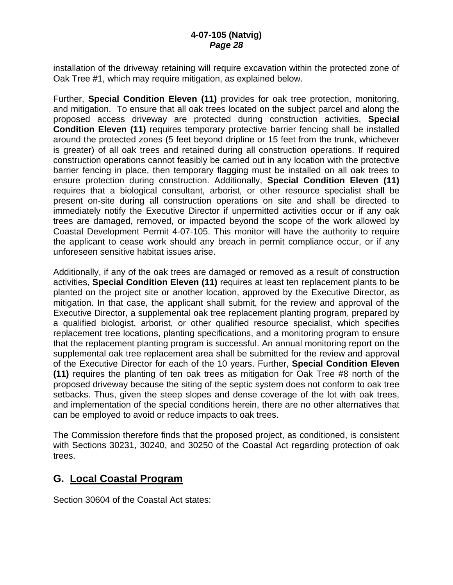installation of the driveway retaining will require excavation within the protected zone of Oak Tree #1, which may require mitigation, as explained below.

Further, **Special Condition Eleven (11)** provides for oak tree protection, monitoring, and mitigation. To ensure that all oak trees located on the subject parcel and along the proposed access driveway are protected during construction activities, **Special Condition Eleven (11)** requires temporary protective barrier fencing shall be installed around the protected zones (5 feet beyond dripline or 15 feet from the trunk, whichever is greater) of all oak trees and retained during all construction operations. If required construction operations cannot feasibly be carried out in any location with the protective barrier fencing in place, then temporary flagging must be installed on all oak trees to ensure protection during construction. Additionally, **Special Condition Eleven (11)** requires that a biological consultant, arborist, or other resource specialist shall be present on-site during all construction operations on site and shall be directed to immediately notify the Executive Director if unpermitted activities occur or if any oak trees are damaged, removed, or impacted beyond the scope of the work allowed by Coastal Development Permit 4-07-105. This monitor will have the authority to require the applicant to cease work should any breach in permit compliance occur, or if any unforeseen sensitive habitat issues arise.

Additionally, if any of the oak trees are damaged or removed as a result of construction activities, **Special Condition Eleven (11)** requires at least ten replacement plants to be planted on the project site or another location, approved by the Executive Director, as mitigation. In that case, the applicant shall submit, for the review and approval of the Executive Director, a supplemental oak tree replacement planting program, prepared by a qualified biologist, arborist, or other qualified resource specialist, which specifies replacement tree locations, planting specifications, and a monitoring program to ensure that the replacement planting program is successful. An annual monitoring report on the supplemental oak tree replacement area shall be submitted for the review and approval of the Executive Director for each of the 10 years. Further, **Special Condition Eleven (11)** requires the planting of ten oak trees as mitigation for Oak Tree #8 north of the proposed driveway because the siting of the septic system does not conform to oak tree setbacks. Thus, given the steep slopes and dense coverage of the lot with oak trees, and implementation of the special conditions herein, there are no other alternatives that can be employed to avoid or reduce impacts to oak trees.

The Commission therefore finds that the proposed project, as conditioned, is consistent with Sections 30231, 30240, and 30250 of the Coastal Act regarding protection of oak trees.

# **G. Local Coastal Program**

Section 30604 of the Coastal Act states: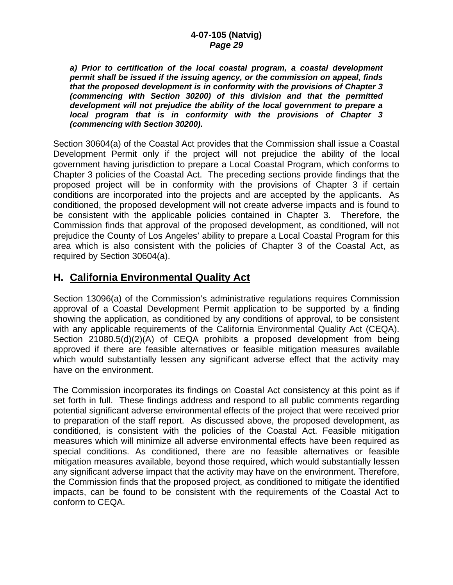*a) Prior to certification of the local coastal program, a coastal development permit shall be issued if the issuing agency, or the commission on appeal, finds that the proposed development is in conformity with the provisions of Chapter 3 (commencing with Section 30200) of this division and that the permitted development will not prejudice the ability of the local government to prepare a local program that is in conformity with the provisions of Chapter 3 (commencing with Section 30200).* 

Section 30604(a) of the Coastal Act provides that the Commission shall issue a Coastal Development Permit only if the project will not prejudice the ability of the local government having jurisdiction to prepare a Local Coastal Program, which conforms to Chapter 3 policies of the Coastal Act. The preceding sections provide findings that the proposed project will be in conformity with the provisions of Chapter 3 if certain conditions are incorporated into the projects and are accepted by the applicants. As conditioned, the proposed development will not create adverse impacts and is found to be consistent with the applicable policies contained in Chapter 3. Therefore, the Commission finds that approval of the proposed development, as conditioned, will not prejudice the County of Los Angeles' ability to prepare a Local Coastal Program for this area which is also consistent with the policies of Chapter 3 of the Coastal Act, as required by Section 30604(a).

# **H. California Environmental Quality Act**

Section 13096(a) of the Commission's administrative regulations requires Commission approval of a Coastal Development Permit application to be supported by a finding showing the application, as conditioned by any conditions of approval, to be consistent with any applicable requirements of the California Environmental Quality Act (CEQA). Section 21080.5(d)(2)(A) of CEQA prohibits a proposed development from being approved if there are feasible alternatives or feasible mitigation measures available which would substantially lessen any significant adverse effect that the activity may have on the environment.

The Commission incorporates its findings on Coastal Act consistency at this point as if set forth in full. These findings address and respond to all public comments regarding potential significant adverse environmental effects of the project that were received prior to preparation of the staff report. As discussed above, the proposed development, as conditioned, is consistent with the policies of the Coastal Act. Feasible mitigation measures which will minimize all adverse environmental effects have been required as special conditions. As conditioned, there are no feasible alternatives or feasible mitigation measures available, beyond those required, which would substantially lessen any significant adverse impact that the activity may have on the environment. Therefore, the Commission finds that the proposed project, as conditioned to mitigate the identified impacts, can be found to be consistent with the requirements of the Coastal Act to conform to CEQA.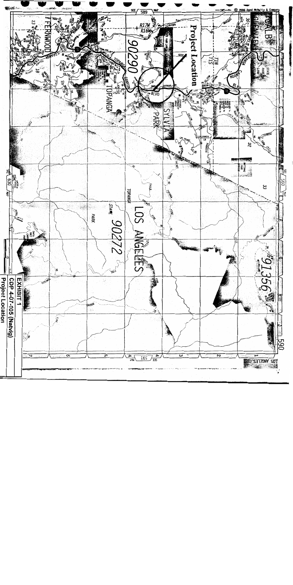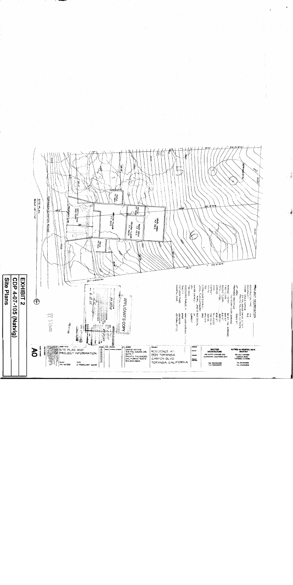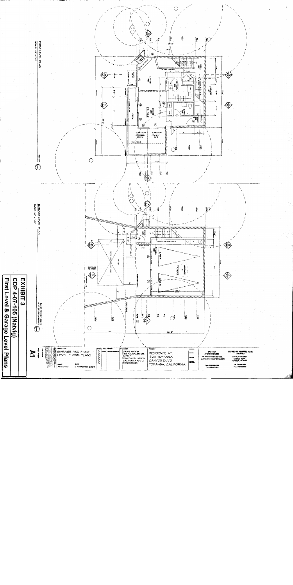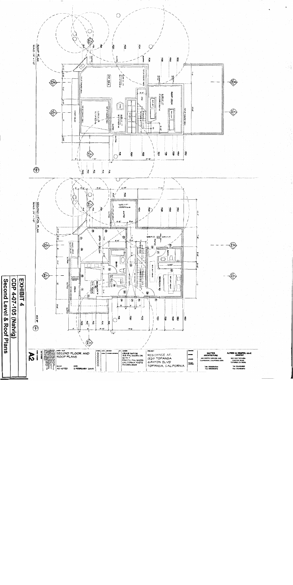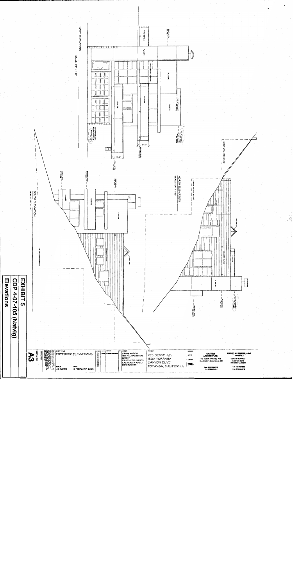

我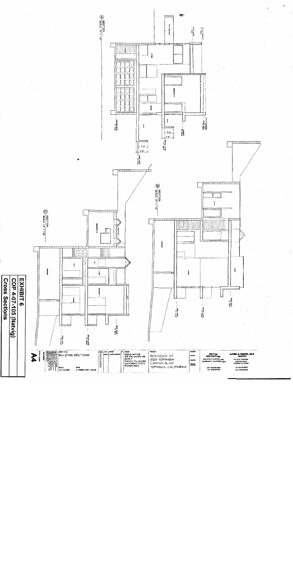